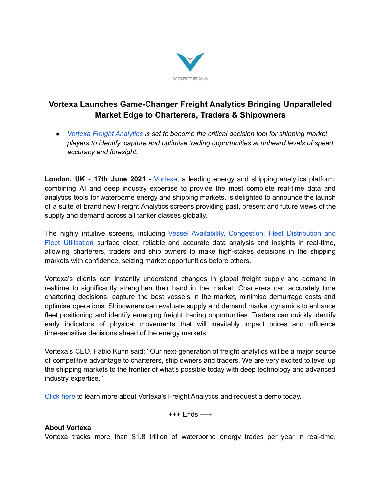

## **Vortexa Launches Game-Changer Freight Analytics Bringing Unparalleled Market Edge to Charterers, Traders & Shipowners**

*● Vortexa Freight [Analytics](https://www.vortexa.com/freight) is set to become the critical decision tool for shipping market players to identify, capture and optimise trading opportunities at unheard levels of speed, accuracy and foresight.*

**London, UK - 17th June 2021 -** [Vortexa,](https://www.vortexa.com/) a leading energy and shipping analytics platform, combining AI and deep industry expertise to provide the most complete real-time data and analytics tools for waterborne energy and shipping markets, is delighted to announce the launch of a suite of brand new Freight Analytics screens providing past, present and future views of the supply and demand across all tanker classes globally.

The highly intuitive screens, including Vessel Availability, [Congestion,](https://www.vortexa.com/freight) Fleet Distribution and Fleet [Utilisation](https://www.vortexa.com/freight) surface clear, reliable and accurate data analysis and insights in real-time, allowing charterers, traders and ship owners to make high-stakes decisions in the shipping markets with confidence, seizing market opportunities before others.

Vortexa's clients can instantly understand changes in global freight supply and demand in realtime to significantly strengthen their hand in the market. Charterers can accurately time chartering decisions, capture the best vessels in the market, minimise demurrage costs and optimise operations. Shipowners can evaluate supply and demand market dynamics to enhance fleet positioning and identify emerging freight trading opportunities. Traders can quickly identify early indicators of physical movements that will inevitably impact prices and influence time-sensitive decisions ahead of the energy markets.

Vortexa's CEO, Fabio Kuhn said: ''Our next-generation of freight analytics will be a major source of competitive advantage to charterers, ship owners and traders. We are very excited to level up the shipping markets to the frontier of what's possible today with deep technology and advanced industry expertise.''

[Click](https://www.vortexa.com/freight) here to learn more about Vortexa's Freight Analytics and request a demo today.

+++ Ends +++

## **About Vortexa**

Vortexa tracks more than \$1.8 trillion of waterborne energy trades per year in real-time,